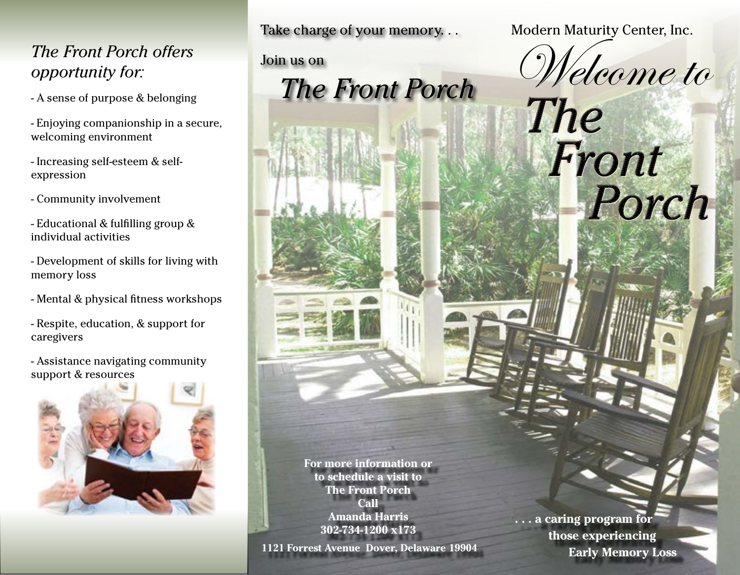## *The Front Porch offers opportunity for:*

- A sense of purpose & belonging
- Enjoying companionship in a secure, welcoming environment
- Increasing self-esteem & selfexpression
- Community involvement
- Educational & fulfilling group & individual activities
- Development of skills for living with memory loss
- Mental & physical fitness workshops
- Respite, education, & support for caregivers
- Assistance navigating community support & resources



Take charge of your memory. . .

Join us on

 *The Front Porch*

Modern Maturity Center, Inc.

Welcome to<br>The

Porch

Front

**For more information or to schedule a visit to The Front Porch Call Amanda Harris 302-734-1200 x173**

**1121 Forrest Avenue Dover, Delaware 19904**

**. . . a caring program for those experiencing Early Memory Loss**